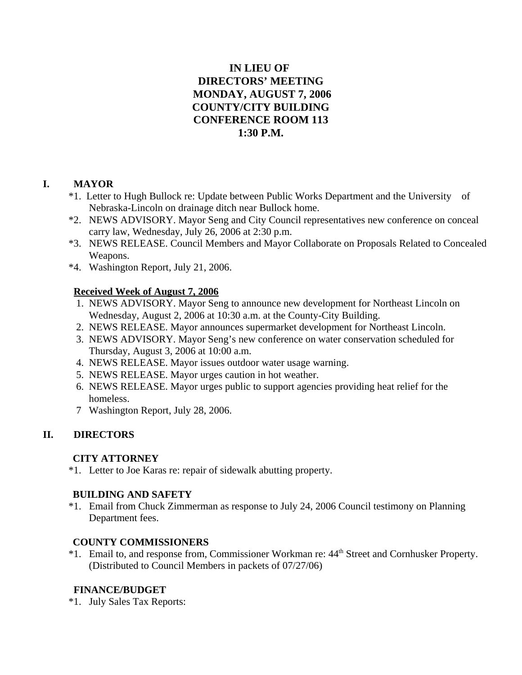# **IN LIEU OF DIRECTORS' MEETING MONDAY, AUGUST 7, 2006 COUNTY/CITY BUILDING CONFERENCE ROOM 113 1:30 P.M.**

# **I. MAYOR**

- \*1. Letter to Hugh Bullock re: Update between Public Works Department and the University of Nebraska-Lincoln on drainage ditch near Bullock home.
- \*2. NEWS ADVISORY. Mayor Seng and City Council representatives new conference on conceal carry law, Wednesday, July 26, 2006 at 2:30 p.m.
- \*3. NEWS RELEASE. Council Members and Mayor Collaborate on Proposals Related to Concealed Weapons.
- \*4. Washington Report, July 21, 2006.

# **Received Week of August 7, 2006**

- 1. NEWS ADVISORY. Mayor Seng to announce new development for Northeast Lincoln on Wednesday, August 2, 2006 at 10:30 a.m. at the County-City Building.
- 2. NEWS RELEASE. Mayor announces supermarket development for Northeast Lincoln.
- 3. NEWS ADVISORY. Mayor Seng's new conference on water conservation scheduled for Thursday, August 3, 2006 at 10:00 a.m.
- 4. NEWS RELEASE. Mayor issues outdoor water usage warning.
- 5. NEWS RELEASE. Mayor urges caution in hot weather.
- 6. NEWS RELEASE. Mayor urges public to support agencies providing heat relief for the homeless.
- 7 Washington Report, July 28, 2006.

# **II. DIRECTORS**

# **CITY ATTORNEY**

\*1. Letter to Joe Karas re: repair of sidewalk abutting property.

# **BUILDING AND SAFETY**

 \*1. Email from Chuck Zimmerman as response to July 24, 2006 Council testimony on Planning Department fees.

# **COUNTY COMMISSIONERS**

<sup>\*1</sup>. Email to, and response from, Commissioner Workman re: 44<sup>th</sup> Street and Cornhusker Property. (Distributed to Council Members in packets of 07/27/06)

# **FINANCE/BUDGET**

\*1. July Sales Tax Reports: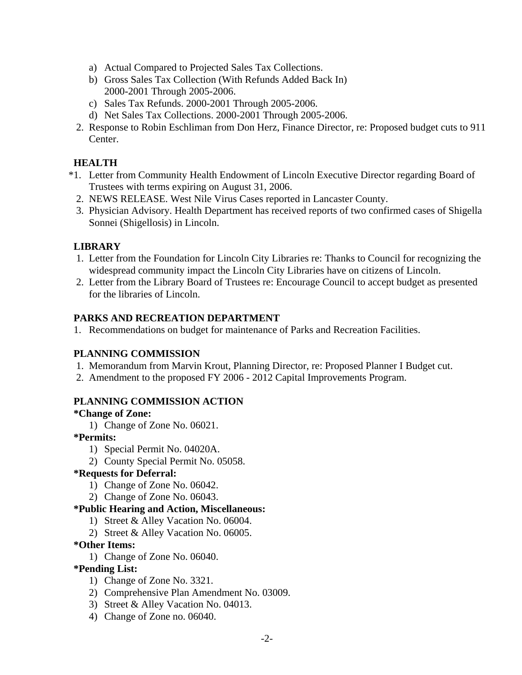- a) Actual Compared to Projected Sales Tax Collections.
- b) Gross Sales Tax Collection (With Refunds Added Back In) 2000-2001 Through 2005-2006.
- c) Sales Tax Refunds. 2000-2001 Through 2005-2006.
- d) Net Sales Tax Collections. 2000-2001 Through 2005-2006.
- 2. Response to Robin Eschliman from Don Herz, Finance Director, re: Proposed budget cuts to 911 Center.

### **HEALTH**

- \*1. Letter from Community Health Endowment of Lincoln Executive Director regarding Board of Trustees with terms expiring on August 31, 2006.
	- 2. NEWS RELEASE. West Nile Virus Cases reported in Lancaster County.
	- 3. Physician Advisory. Health Department has received reports of two confirmed cases of Shigella Sonnei (Shigellosis) in Lincoln.

### **LIBRARY**

- 1. Letter from the Foundation for Lincoln City Libraries re: Thanks to Council for recognizing the widespread community impact the Lincoln City Libraries have on citizens of Lincoln.
- 2. Letter from the Library Board of Trustees re: Encourage Council to accept budget as presented for the libraries of Lincoln.

#### **PARKS AND RECREATION DEPARTMENT**

1. Recommendations on budget for maintenance of Parks and Recreation Facilities.

#### **PLANNING COMMISSION**

- 1. Memorandum from Marvin Krout, Planning Director, re: Proposed Planner I Budget cut.
- 2. Amendment to the proposed FY 2006 2012 Capital Improvements Program.

#### **PLANNING COMMISSION ACTION**

#### **\*Change of Zone:**

1) Change of Zone No. 06021.

# **\*Permits:**

- 1) Special Permit No. 04020A.
- 2) County Special Permit No. 05058.

#### **\*Requests for Deferral:**

- 1) Change of Zone No. 06042.
- 2) Change of Zone No. 06043.

#### **\*Public Hearing and Action, Miscellaneous:**

- 1) Street & Alley Vacation No. 06004.
- 2) Street & Alley Vacation No. 06005.

#### **\*Other Items:**

1) Change of Zone No. 06040.

#### **\*Pending List:**

- 1) Change of Zone No. 3321.
- 2) Comprehensive Plan Amendment No. 03009.
- 3) Street & Alley Vacation No. 04013.
- 4) Change of Zone no. 06040.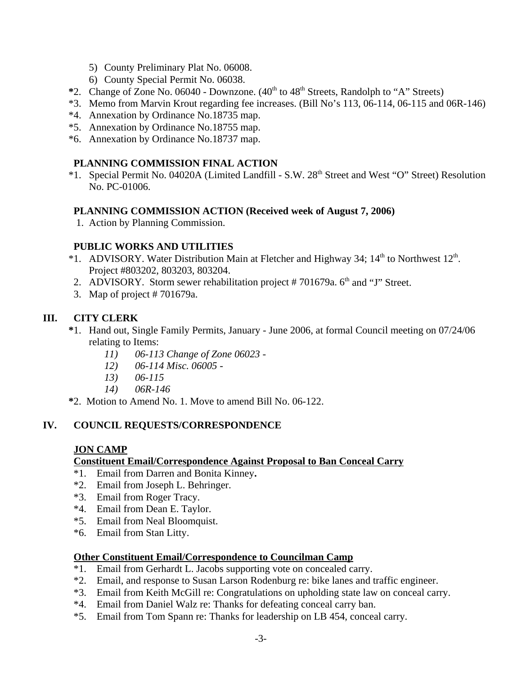- 5) County Preliminary Plat No. 06008.
- 6) County Special Permit No. 06038.
- \*2. Change of Zone No. 06040 Downzone. (40<sup>th</sup> to 48<sup>th</sup> Streets, Randolph to "A" Streets)
- \*3. Memo from Marvin Krout regarding fee increases. (Bill No's 113, 06-114, 06-115 and 06R-146)
- \*4. Annexation by Ordinance No.18735 map.
- \*5. Annexation by Ordinance No.18755 map.
- \*6. Annexation by Ordinance No.18737 map.

# **PLANNING COMMISSION FINAL ACTION**

\*1. Special Permit No. 04020A (Limited Landfill - S.W. 28<sup>th</sup> Street and West "O" Street) Resolution No. PC-01006.

# **PLANNING COMMISSION ACTION (Received week of August 7, 2006)**

1. Action by Planning Commission.

# **PUBLIC WORKS AND UTILITIES**

- \*1. ADVISORY. Water Distribution Main at Fletcher and Highway 34;  $14<sup>th</sup>$  to Northwest  $12<sup>th</sup>$ . Project #803202, 803203, 803204.
- 2. ADVISORY. Storm sewer rehabilitation project  $# 701679a$ .  $6<sup>th</sup>$  and "J" Street.
- 3. Map of project # 701679a.

# **III. CITY CLERK**

- **\***1. Hand out, Single Family Permits, January June 2006, at formal Council meeting on 07/24/06 relating to Items:
	- *11) 06-113 Change of Zone 06023 -*
	- *12) 06-114 Misc. 06005 -*
	- *13) 06-115*
	- *14) 06R-146*
- **\***2. Motion to Amend No. 1. Move to amend Bill No. 06-122.

# **IV. COUNCIL REQUESTS/CORRESPONDENCE**

# **JON CAMP**

# **Constituent Email/Correspondence Against Proposal to Ban Conceal Carry**

- \*1. Email from Darren and Bonita Kinney**.**
- \*2. Email from Joseph L. Behringer.
- \*3. Email from Roger Tracy.
- \*4. Email from Dean E. Taylor.
- \*5. Email from Neal Bloomquist.
- \*6. Email from Stan Litty.

# **Other Constituent Email/Correspondence to Councilman Camp**

- \*1. Email from Gerhardt L. Jacobs supporting vote on concealed carry.
- \*2. Email, and response to Susan Larson Rodenburg re: bike lanes and traffic engineer.
- \*3. Email from Keith McGill re: Congratulations on upholding state law on conceal carry.
- \*4. Email from Daniel Walz re: Thanks for defeating conceal carry ban.
- \*5. Email from Tom Spann re: Thanks for leadership on LB 454, conceal carry.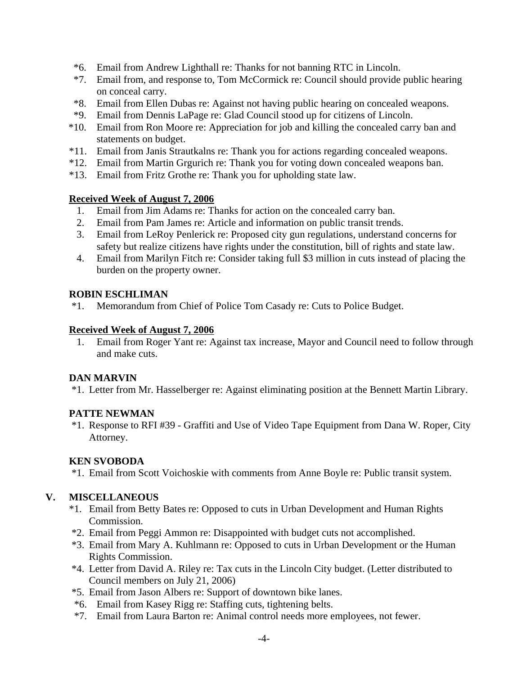- \*6. Email from Andrew Lighthall re: Thanks for not banning RTC in Lincoln.
- \*7. Email from, and response to, Tom McCormick re: Council should provide public hearing on conceal carry.
- \*8. Email from Ellen Dubas re: Against not having public hearing on concealed weapons.
- \*9. Email from Dennis LaPage re: Glad Council stood up for citizens of Lincoln.
- \*10. Email from Ron Moore re: Appreciation for job and killing the concealed carry ban and statements on budget.
- \*11. Email from Janis Strautkalns re: Thank you for actions regarding concealed weapons.
- \*12. Email from Martin Grgurich re: Thank you for voting down concealed weapons ban.
- \*13. Email from Fritz Grothe re: Thank you for upholding state law.

### **Received Week of August 7, 2006**

- 1. Email from Jim Adams re: Thanks for action on the concealed carry ban.
- 2. Email from Pam James re: Article and information on public transit trends.
- 3. Email from LeRoy Penlerick re: Proposed city gun regulations, understand concerns for safety but realize citizens have rights under the constitution, bill of rights and state law.
- 4. Email from Marilyn Fitch re: Consider taking full \$3 million in cuts instead of placing the burden on the property owner.

### **ROBIN ESCHLIMAN**

\*1. Memorandum from Chief of Police Tom Casady re: Cuts to Police Budget.

### **Received Week of August 7, 2006**

1. Email from Roger Yant re: Against tax increase, Mayor and Council need to follow through and make cuts.

# **DAN MARVIN**

\*1. Letter from Mr. Hasselberger re: Against eliminating position at the Bennett Martin Library.

# **PATTE NEWMAN**

 \*1. Response to RFI #39 - Graffiti and Use of Video Tape Equipment from Dana W. Roper, City Attorney.

# **KEN SVOBODA**

\*1. Email from Scott Voichoskie with comments from Anne Boyle re: Public transit system.

# **V. MISCELLANEOUS**

- \*1. Email from Betty Bates re: Opposed to cuts in Urban Development and Human Rights Commission.
- \*2. Email from Peggi Ammon re: Disappointed with budget cuts not accomplished.
- \*3. Email from Mary A. Kuhlmann re: Opposed to cuts in Urban Development or the Human Rights Commission.
- \*4. Letter from David A. Riley re: Tax cuts in the Lincoln City budget. (Letter distributed to Council members on July 21, 2006)
- \*5. Email from Jason Albers re: Support of downtown bike lanes.
- \*6. Email from Kasey Rigg re: Staffing cuts, tightening belts.
- \*7. Email from Laura Barton re: Animal control needs more employees, not fewer.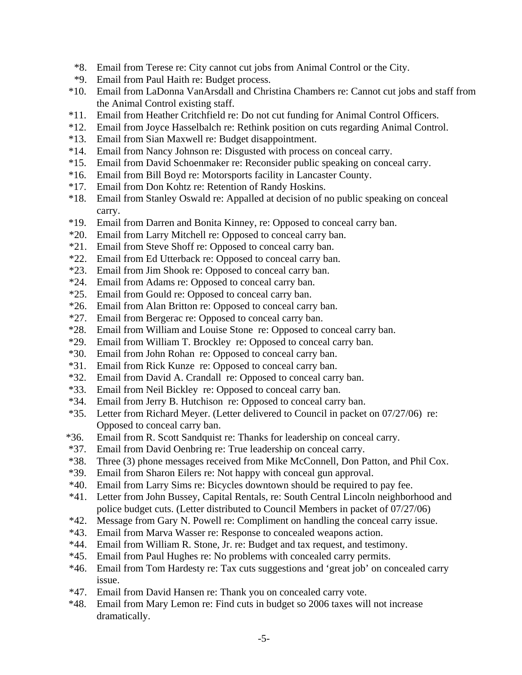- \*8. Email from Terese re: City cannot cut jobs from Animal Control or the City.
- \*9. Email from Paul Haith re: Budget process.
- \*10. Email from LaDonna VanArsdall and Christina Chambers re: Cannot cut jobs and staff from the Animal Control existing staff.
- \*11. Email from Heather Critchfield re: Do not cut funding for Animal Control Officers.
- \*12. Email from Joyce Hasselbalch re: Rethink position on cuts regarding Animal Control.
- \*13. Email from Sian Maxwell re: Budget disappointment.
- \*14. Email from Nancy Johnson re: Disgusted with process on conceal carry.
- \*15. Email from David Schoenmaker re: Reconsider public speaking on conceal carry.
- \*16. Email from Bill Boyd re: Motorsports facility in Lancaster County.
- \*17. Email from Don Kohtz re: Retention of Randy Hoskins.
- \*18. Email from Stanley Oswald re: Appalled at decision of no public speaking on conceal carry.
- \*19. Email from Darren and Bonita Kinney, re: Opposed to conceal carry ban.
- \*20. Email from Larry Mitchell re: Opposed to conceal carry ban.
- \*21. Email from Steve Shoff re: Opposed to conceal carry ban.
- \*22. Email from Ed Utterback re: Opposed to conceal carry ban.
- \*23. Email from Jim Shook re: Opposed to conceal carry ban.
- \*24. Email from Adams re: Opposed to conceal carry ban.
- \*25. Email from Gould re: Opposed to conceal carry ban.
- \*26. Email from Alan Britton re: Opposed to conceal carry ban.
- \*27. Email from Bergerac re: Opposed to conceal carry ban.
- \*28. Email from William and Louise Stone re: Opposed to conceal carry ban.
- \*29. Email from William T. Brockley re: Opposed to conceal carry ban.
- \*30. Email from John Rohan re: Opposed to conceal carry ban.
- \*31. Email from Rick Kunze re: Opposed to conceal carry ban.
- \*32. Email from David A. Crandall re: Opposed to conceal carry ban.
- \*33. Email from Neil Bickley re: Opposed to conceal carry ban.
- \*34. Email from Jerry B. Hutchison re: Opposed to conceal carry ban.
- \*35. Letter from Richard Meyer. (Letter delivered to Council in packet on 07/27/06) re: Opposed to conceal carry ban.
- \*36. Email from R. Scott Sandquist re: Thanks for leadership on conceal carry.
- \*37. Email from David Oenbring re: True leadership on conceal carry.
- \*38. Three (3) phone messages received from Mike McConnell, Don Patton, and Phil Cox.
- \*39. Email from Sharon Eilers re: Not happy with conceal gun approval.
- \*40. Email from Larry Sims re: Bicycles downtown should be required to pay fee.
- \*41. Letter from John Bussey, Capital Rentals, re: South Central Lincoln neighborhood and police budget cuts. (Letter distributed to Council Members in packet of 07/27/06)
- \*42. Message from Gary N. Powell re: Compliment on handling the conceal carry issue.
- \*43. Email from Marva Wasser re: Response to concealed weapons action.
- \*44. Email from William R. Stone, Jr. re: Budget and tax request, and testimony.
- \*45. Email from Paul Hughes re: No problems with concealed carry permits.
- \*46. Email from Tom Hardesty re: Tax cuts suggestions and 'great job' on concealed carry issue.
- \*47. Email from David Hansen re: Thank you on concealed carry vote.
- \*48. Email from Mary Lemon re: Find cuts in budget so 2006 taxes will not increase dramatically.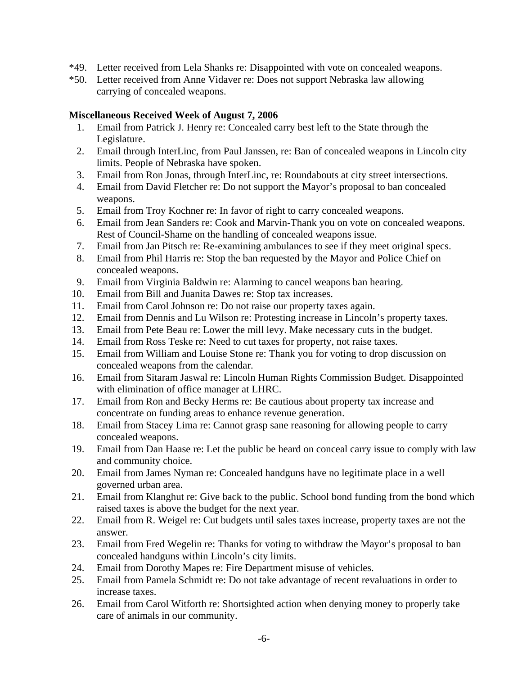- \*49. Letter received from Lela Shanks re: Disappointed with vote on concealed weapons.
- \*50. Letter received from Anne Vidaver re: Does not support Nebraska law allowing carrying of concealed weapons.

### **Miscellaneous Received Week of August 7, 2006**

- 1. Email from Patrick J. Henry re: Concealed carry best left to the State through the Legislature.
- 2. Email through InterLinc, from Paul Janssen, re: Ban of concealed weapons in Lincoln city limits. People of Nebraska have spoken.
- 3. Email from Ron Jonas, through InterLinc, re: Roundabouts at city street intersections.
- 4. Email from David Fletcher re: Do not support the Mayor's proposal to ban concealed weapons.
- 5. Email from Troy Kochner re: In favor of right to carry concealed weapons.
- 6. Email from Jean Sanders re: Cook and Marvin-Thank you on vote on concealed weapons. Rest of Council-Shame on the handling of concealed weapons issue.
- 7. Email from Jan Pitsch re: Re-examining ambulances to see if they meet original specs.
- 8. Email from Phil Harris re: Stop the ban requested by the Mayor and Police Chief on concealed weapons.
- 9. Email from Virginia Baldwin re: Alarming to cancel weapons ban hearing.
- 10. Email from Bill and Juanita Dawes re: Stop tax increases.
- 11. Email from Carol Johnson re: Do not raise our property taxes again.
- 12. Email from Dennis and Lu Wilson re: Protesting increase in Lincoln's property taxes.
- 13. Email from Pete Beau re: Lower the mill levy. Make necessary cuts in the budget.
- 14. Email from Ross Teske re: Need to cut taxes for property, not raise taxes.
- 15. Email from William and Louise Stone re: Thank you for voting to drop discussion on concealed weapons from the calendar.
- 16. Email from Sitaram Jaswal re: Lincoln Human Rights Commission Budget. Disappointed with elimination of office manager at LHRC.
- 17. Email from Ron and Becky Herms re: Be cautious about property tax increase and concentrate on funding areas to enhance revenue generation.
- 18. Email from Stacey Lima re: Cannot grasp sane reasoning for allowing people to carry concealed weapons.
- 19. Email from Dan Haase re: Let the public be heard on conceal carry issue to comply with law and community choice.
- 20. Email from James Nyman re: Concealed handguns have no legitimate place in a well governed urban area.
- 21. Email from Klanghut re: Give back to the public. School bond funding from the bond which raised taxes is above the budget for the next year.
- 22. Email from R. Weigel re: Cut budgets until sales taxes increase, property taxes are not the answer.
- 23. Email from Fred Wegelin re: Thanks for voting to withdraw the Mayor's proposal to ban concealed handguns within Lincoln's city limits.
- 24. Email from Dorothy Mapes re: Fire Department misuse of vehicles.
- 25. Email from Pamela Schmidt re: Do not take advantage of recent revaluations in order to increase taxes.
- 26. Email from Carol Witforth re: Shortsighted action when denying money to properly take care of animals in our community.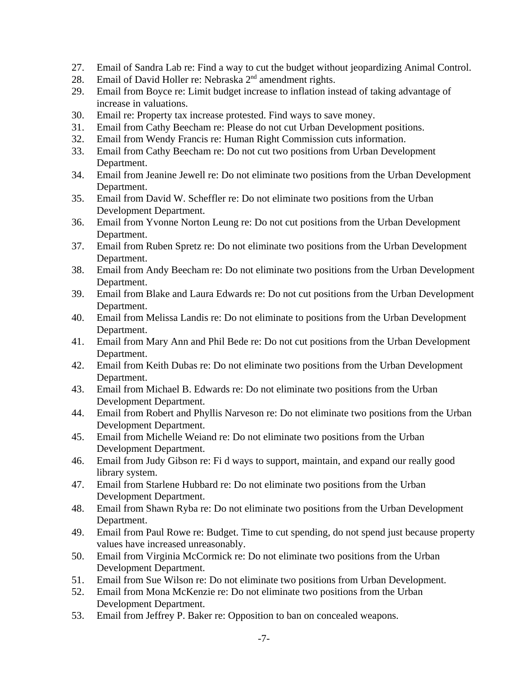- 27. Email of Sandra Lab re: Find a way to cut the budget without jeopardizing Animal Control.
- 27. Email of David Holler re: Nebraska 2<sup>nd</sup> amendment rights.
- 29. Email from Boyce re: Limit budget increase to inflation instead of taking advantage of increase in valuations.
- 30. Email re: Property tax increase protested. Find ways to save money.
- 31. Email from Cathy Beecham re: Please do not cut Urban Development positions.
- 32. Email from Wendy Francis re: Human Right Commission cuts information.
- 33. Email from Cathy Beecham re: Do not cut two positions from Urban Development Department.
- 34. Email from Jeanine Jewell re: Do not eliminate two positions from the Urban Development Department.
- 35. Email from David W. Scheffler re: Do not eliminate two positions from the Urban Development Department.
- 36. Email from Yvonne Norton Leung re: Do not cut positions from the Urban Development Department.
- 37. Email from Ruben Spretz re: Do not eliminate two positions from the Urban Development Department.
- 38. Email from Andy Beecham re: Do not eliminate two positions from the Urban Development Department.
- 39. Email from Blake and Laura Edwards re: Do not cut positions from the Urban Development Department.
- 40. Email from Melissa Landis re: Do not eliminate to positions from the Urban Development Department.
- 41. Email from Mary Ann and Phil Bede re: Do not cut positions from the Urban Development Department.
- 42. Email from Keith Dubas re: Do not eliminate two positions from the Urban Development Department.
- 43. Email from Michael B. Edwards re: Do not eliminate two positions from the Urban Development Department.
- 44. Email from Robert and Phyllis Narveson re: Do not eliminate two positions from the Urban Development Department.
- 45. Email from Michelle Weiand re: Do not eliminate two positions from the Urban Development Department.
- 46. Email from Judy Gibson re: Fi d ways to support, maintain, and expand our really good library system.
- 47. Email from Starlene Hubbard re: Do not eliminate two positions from the Urban Development Department.
- 48. Email from Shawn Ryba re: Do not eliminate two positions from the Urban Development Department.
- 49. Email from Paul Rowe re: Budget. Time to cut spending, do not spend just because property values have increased unreasonably.
- 50. Email from Virginia McCormick re: Do not eliminate two positions from the Urban Development Department.
- 51. Email from Sue Wilson re: Do not eliminate two positions from Urban Development.
- 52. Email from Mona McKenzie re: Do not eliminate two positions from the Urban Development Department.
- 53. Email from Jeffrey P. Baker re: Opposition to ban on concealed weapons.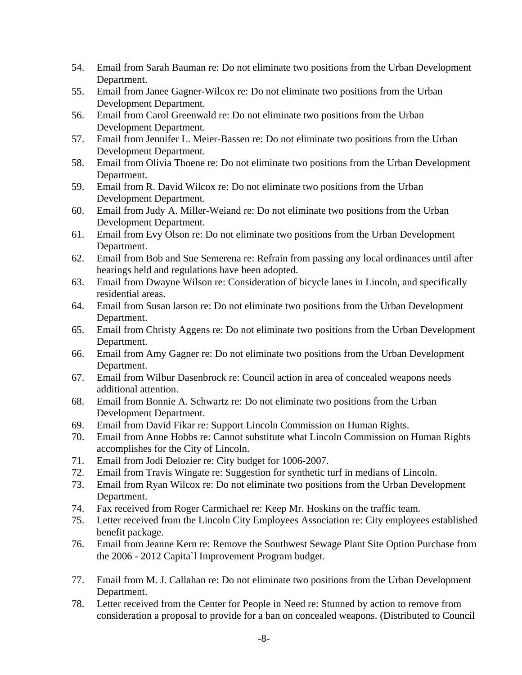- 54. Email from Sarah Bauman re: Do not eliminate two positions from the Urban Development Department.
- 55. Email from Janee Gagner-Wilcox re: Do not eliminate two positions from the Urban Development Department.
- 56. Email from Carol Greenwald re: Do not eliminate two positions from the Urban Development Department.
- 57. Email from Jennifer L. Meier-Bassen re: Do not eliminate two positions from the Urban Development Department.
- 58. Email from Olivia Thoene re: Do not eliminate two positions from the Urban Development Department.
- 59. Email from R. David Wilcox re: Do not eliminate two positions from the Urban Development Department.
- 60. Email from Judy A. Miller-Weiand re: Do not eliminate two positions from the Urban Development Department.
- 61. Email from Evy Olson re: Do not eliminate two positions from the Urban Development Department.
- 62. Email from Bob and Sue Semerena re: Refrain from passing any local ordinances until after hearings held and regulations have been adopted.
- 63. Email from Dwayne Wilson re: Consideration of bicycle lanes in Lincoln, and specifically residential areas.
- 64. Email from Susan larson re: Do not eliminate two positions from the Urban Development Department.
- 65. Email from Christy Aggens re: Do not eliminate two positions from the Urban Development Department.
- 66. Email from Amy Gagner re: Do not eliminate two positions from the Urban Development Department.
- 67. Email from Wilbur Dasenbrock re: Council action in area of concealed weapons needs additional attention.
- 68. Email from Bonnie A. Schwartz re: Do not eliminate two positions from the Urban Development Department.
- 69. Email from David Fikar re: Support Lincoln Commission on Human Rights.
- 70. Email from Anne Hobbs re: Cannot substitute what Lincoln Commission on Human Rights accomplishes for the City of Lincoln.
- 71. Email from Jodi Delozier re: City budget for 1006-2007.
- 72. Email from Travis Wingate re: Suggestion for synthetic turf in medians of Lincoln.
- 73. Email from Ryan Wilcox re: Do not eliminate two positions from the Urban Development Department.
- 74. Fax received from Roger Carmichael re: Keep Mr. Hoskins on the traffic team.
- 75. Letter received from the Lincoln City Employees Association re: City employees established benefit package.
- 76. Email from Jeanne Kern re: Remove the Southwest Sewage Plant Site Option Purchase from the 2006 - 2012 Capita`l Improvement Program budget.
- 77. Email from M. J. Callahan re: Do not eliminate two positions from the Urban Development Department.
- 78. Letter received from the Center for People in Need re: Stunned by action to remove from consideration a proposal to provide for a ban on concealed weapons. (Distributed to Council